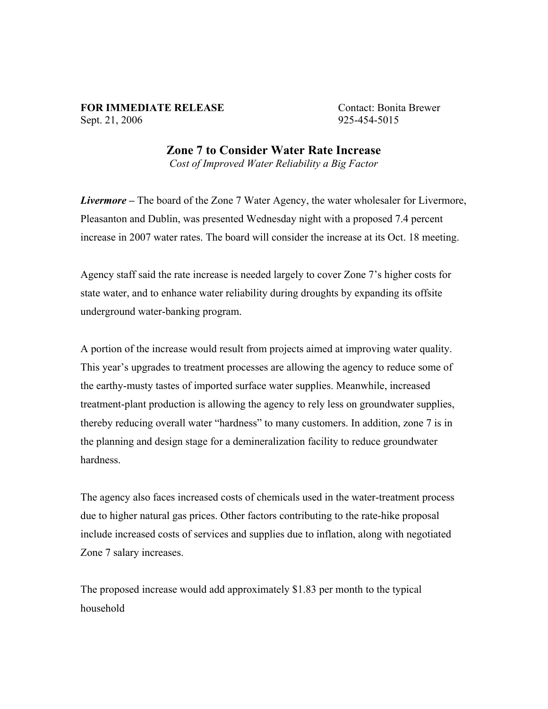## **FOR IMMEDIATE RELEASE** Contact: Bonita Brewer Sept. 21, 2006 925-454-5015

**Zone 7 to Consider Water Rate Increase** *Cost of Improved Water Reliability a Big Factor*

*Livermore –* The board of the Zone 7 Water Agency, the water wholesaler for Livermore, Pleasanton and Dublin, was presented Wednesday night with a proposed 7.4 percent increase in 2007 water rates. The board will consider the increase at its Oct. 18 meeting.

Agency staff said the rate increase is needed largely to cover Zone 7's higher costs for state water, and to enhance water reliability during droughts by expanding its offsite underground water-banking program.

A portion of the increase would result from projects aimed at improving water quality. This year's upgrades to treatment processes are allowing the agency to reduce some of the earthy-musty tastes of imported surface water supplies. Meanwhile, increased treatment-plant production is allowing the agency to rely less on groundwater supplies, thereby reducing overall water "hardness" to many customers. In addition, zone 7 is in the planning and design stage for a demineralization facility to reduce groundwater hardness.

The agency also faces increased costs of chemicals used in the water-treatment process due to higher natural gas prices. Other factors contributing to the rate-hike proposal include increased costs of services and supplies due to inflation, along with negotiated Zone 7 salary increases.

The proposed increase would add approximately \$1.83 per month to the typical household